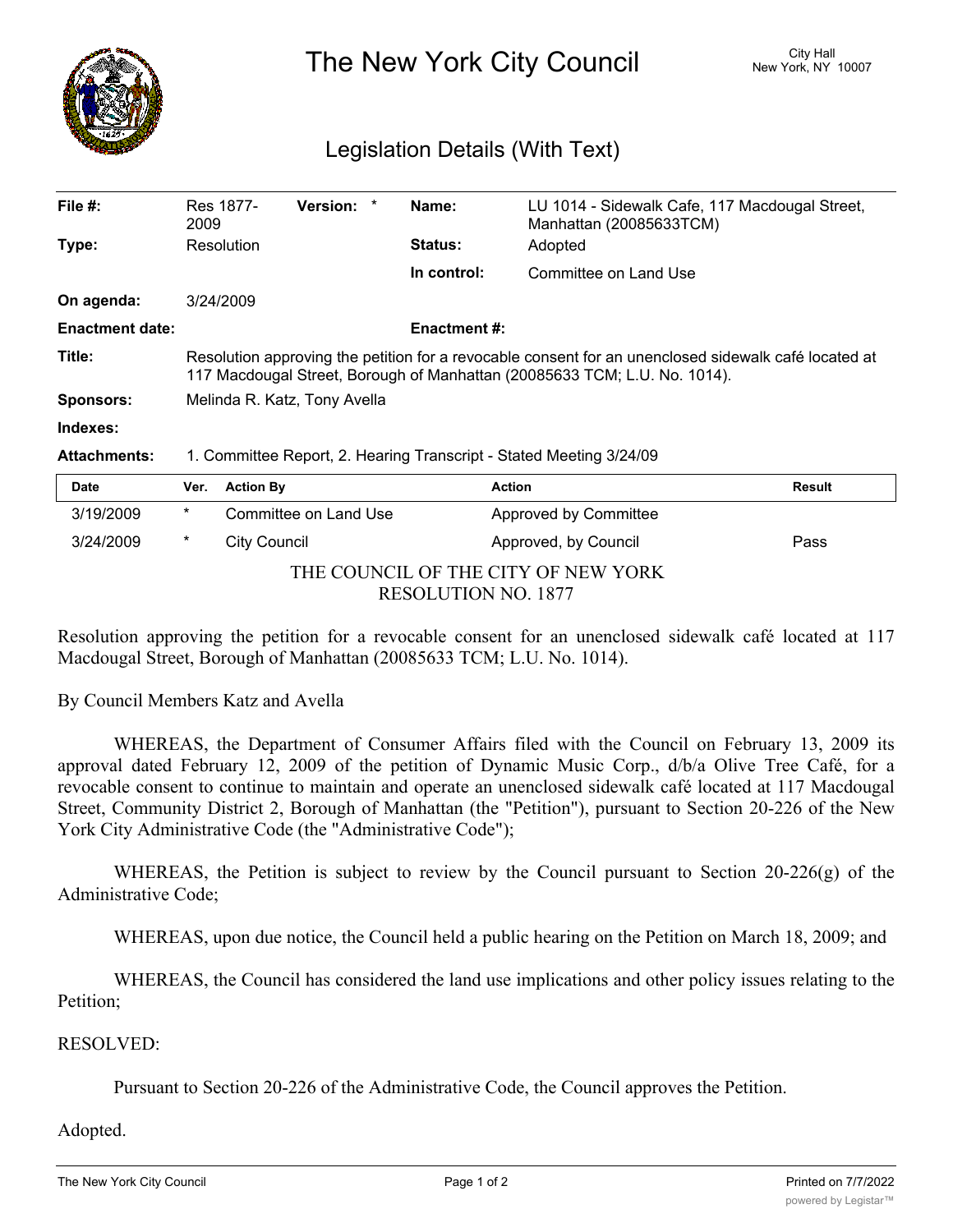

The New York City Council New York, NY 10007

## Legislation Details (With Text)

| File $#$ :             | Res 1877-<br>2009                                                                                                                                                                 | <b>Version:</b> | Name:               | LU 1014 - Sidewalk Cafe, 117 Macdougal Street,<br>Manhattan (20085633TCM) |               |  |  |
|------------------------|-----------------------------------------------------------------------------------------------------------------------------------------------------------------------------------|-----------------|---------------------|---------------------------------------------------------------------------|---------------|--|--|
| Type:                  | Resolution                                                                                                                                                                        |                 | <b>Status:</b>      | Adopted                                                                   |               |  |  |
|                        |                                                                                                                                                                                   |                 | In control:         | Committee on Land Use                                                     |               |  |  |
| On agenda:             | 3/24/2009                                                                                                                                                                         |                 |                     |                                                                           |               |  |  |
| <b>Enactment date:</b> |                                                                                                                                                                                   |                 | <b>Enactment #:</b> |                                                                           |               |  |  |
| Title:                 | Resolution approving the petition for a revocable consent for an unenclosed sidewalk café located at<br>117 Macdougal Street, Borough of Manhattan (20085633 TCM; L.U. No. 1014). |                 |                     |                                                                           |               |  |  |
| <b>Sponsors:</b>       | Melinda R. Katz, Tony Avella                                                                                                                                                      |                 |                     |                                                                           |               |  |  |
| Indexes:               |                                                                                                                                                                                   |                 |                     |                                                                           |               |  |  |
| <b>Attachments:</b>    | 1. Committee Report, 2. Hearing Transcript - Stated Meeting 3/24/09                                                                                                               |                 |                     |                                                                           |               |  |  |
| Date                   | <b>Action By</b><br>Ver.                                                                                                                                                          |                 |                     | <b>Action</b>                                                             | <b>Result</b> |  |  |

| <u>saw</u>                          |   | $\mathbf{v}$          | <b>AVUVII</b>                | .    |  |
|-------------------------------------|---|-----------------------|------------------------------|------|--|
| 3/19/2009                           | * | Committee on Land Use | <b>Approved by Committee</b> |      |  |
| 3/24/2009                           | * | City Council          | Approved, by Council         | Pass |  |
| THE COUNCIL OF THE CITY OF NEW YORK |   |                       |                              |      |  |
| <b>RESOLUTION NO. 1877</b>          |   |                       |                              |      |  |

Resolution approving the petition for a revocable consent for an unenclosed sidewalk café located at 117 Macdougal Street, Borough of Manhattan (20085633 TCM; L.U. No. 1014).

By Council Members Katz and Avella

WHEREAS, the Department of Consumer Affairs filed with the Council on February 13, 2009 its approval dated February 12, 2009 of the petition of Dynamic Music Corp., d/b/a Olive Tree Café, for a revocable consent to continue to maintain and operate an unenclosed sidewalk café located at 117 Macdougal Street, Community District 2, Borough of Manhattan (the "Petition"), pursuant to Section 20-226 of the New York City Administrative Code (the "Administrative Code");

WHEREAS, the Petition is subject to review by the Council pursuant to Section 20-226(g) of the Administrative Code;

WHEREAS, upon due notice, the Council held a public hearing on the Petition on March 18, 2009; and

WHEREAS, the Council has considered the land use implications and other policy issues relating to the Petition;

## RESOLVED:

Pursuant to Section 20-226 of the Administrative Code, the Council approves the Petition.

Adopted.